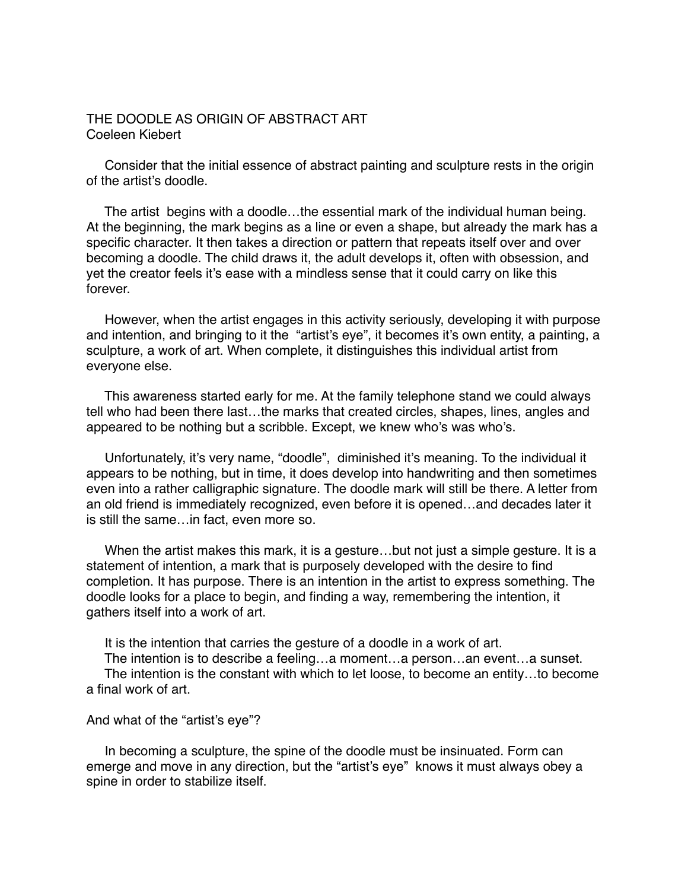## THE DOODLE AS ORIGIN OF ABSTRACT ART Coeleen Kiebert

 Consider that the initial essence of abstract painting and sculpture rests in the origin of the artist's doodle.

 The artist begins with a doodle…the essential mark of the individual human being. At the beginning, the mark begins as a line or even a shape, but already the mark has a specific character. It then takes a direction or pattern that repeats itself over and over becoming a doodle. The child draws it, the adult develops it, often with obsession, and yet the creator feels it's ease with a mindless sense that it could carry on like this forever.

 However, when the artist engages in this activity seriously, developing it with purpose and intention, and bringing to it the "artist's eye", it becomes it's own entity, a painting, a sculpture, a work of art. When complete, it distinguishes this individual artist from everyone else.

 This awareness started early for me. At the family telephone stand we could always tell who had been there last…the marks that created circles, shapes, lines, angles and appeared to be nothing but a scribble. Except, we knew who's was who's.

 Unfortunately, it's very name, "doodle", diminished it's meaning. To the individual it appears to be nothing, but in time, it does develop into handwriting and then sometimes even into a rather calligraphic signature. The doodle mark will still be there. A letter from an old friend is immediately recognized, even before it is opened…and decades later it is still the same…in fact, even more so.

 When the artist makes this mark, it is a gesture…but not just a simple gesture. It is a statement of intention, a mark that is purposely developed with the desire to find completion. It has purpose. There is an intention in the artist to express something. The doodle looks for a place to begin, and finding a way, remembering the intention, it gathers itself into a work of art.

It is the intention that carries the gesture of a doodle in a work of art.

The intention is to describe a feeling…a moment…a person…an event…a sunset.

 The intention is the constant with which to let loose, to become an entity…to become a final work of art.

## And what of the "artist's eye"?

 In becoming a sculpture, the spine of the doodle must be insinuated. Form can emerge and move in any direction, but the "artist's eye" knows it must always obey a spine in order to stabilize itself.